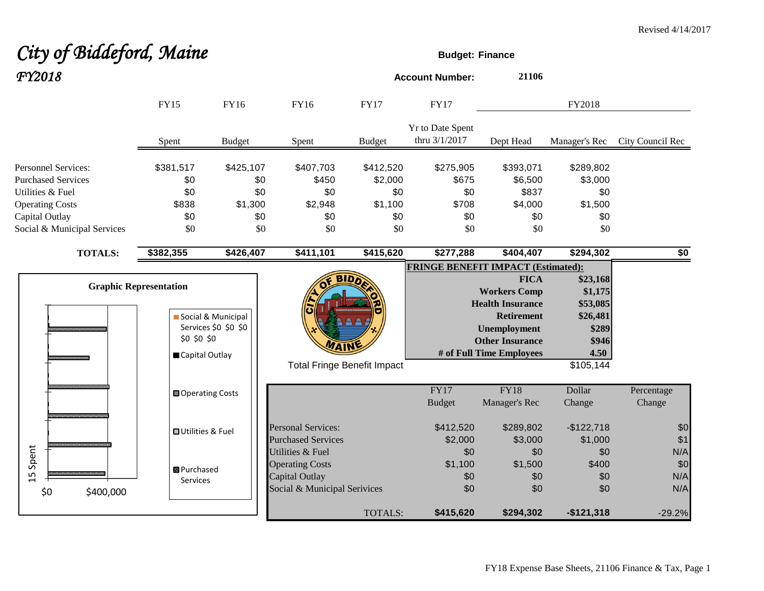# *City of Biddeford, Maine* **Budget:** Finance

| FY2018                                                                                                                                                 |                                                                |                                                  |                                                                                              |                                                      | <b>Account Number:</b>                           | 21106                                                                                                                                                           |                                                                                    |                          |
|--------------------------------------------------------------------------------------------------------------------------------------------------------|----------------------------------------------------------------|--------------------------------------------------|----------------------------------------------------------------------------------------------|------------------------------------------------------|--------------------------------------------------|-----------------------------------------------------------------------------------------------------------------------------------------------------------------|------------------------------------------------------------------------------------|--------------------------|
|                                                                                                                                                        | <b>FY15</b>                                                    | FY16                                             | FY16                                                                                         | <b>FY17</b>                                          | <b>FY17</b>                                      |                                                                                                                                                                 | FY2018                                                                             |                          |
|                                                                                                                                                        | Spent                                                          | <b>Budget</b>                                    | Spent                                                                                        | <b>Budget</b>                                        | Yr to Date Spent<br>thru 3/1/2017                | Dept Head                                                                                                                                                       | Manager's Rec                                                                      | City Council Rec         |
| <b>Personnel Services:</b><br><b>Purchased Services</b><br>Utilities & Fuel<br><b>Operating Costs</b><br>Capital Outlay<br>Social & Municipal Services | \$381,517<br>\$0<br>\$0<br>\$838<br>\$0<br>\$0                 | \$425,107<br>\$0<br>\$0<br>\$1,300<br>\$0<br>\$0 | \$407,703<br>\$450<br>\$0<br>\$2,948<br>\$0<br>\$0                                           | \$412,520<br>\$2,000<br>\$0<br>\$1,100<br>\$0<br>\$0 | \$275,905<br>\$675<br>\$0<br>\$708<br>\$0<br>\$0 | \$393,071<br>\$6,500<br>\$837<br>\$4,000<br>\$0<br>\$0                                                                                                          | \$289,802<br>\$3,000<br>\$0<br>\$1,500<br>\$0<br>\$0                               |                          |
| <b>TOTALS:</b>                                                                                                                                         | \$382,355                                                      | \$426,407                                        | \$411,101                                                                                    | \$415,620                                            | \$277,288                                        | \$404,407                                                                                                                                                       | \$294,302                                                                          | \$0                      |
|                                                                                                                                                        | <b>Graphic Representation</b><br>\$0 \$0 \$0<br>Capital Outlay | Social & Municipal<br>Services \$0 \$0 \$0       |                                                                                              | <b>BIDA</b><br><b>Total Fringe Benefit Impact</b>    | <b>FRINGE BENEFIT IMPACT (Estimated):</b>        | <b>FICA</b><br><b>Workers Comp</b><br><b>Health Insurance</b><br><b>Retirement</b><br><b>Unemployment</b><br><b>Other Insurance</b><br># of Full Time Employees | \$23,168<br>\$1,175<br>\$53,085<br>\$26,481<br>\$289<br>\$946<br>4.50<br>\$105,144 |                          |
|                                                                                                                                                        | <b>□ Operating Costs</b>                                       |                                                  |                                                                                              |                                                      | FY17<br><b>Budget</b>                            | $\overline{FY18}$<br>Manager's Rec                                                                                                                              | Dollar<br>Change                                                                   | Percentage<br>Change     |
|                                                                                                                                                        | <b>□ Utilities &amp; Fuel</b>                                  |                                                  | <b>Personal Services:</b><br><b>Purchased Services</b>                                       |                                                      | \$412,520<br>\$2,000                             | \$289,802<br>\$3,000                                                                                                                                            | $-$122,718$<br>\$1,000                                                             | \$0<br>\$1               |
| 15 Spent<br>\$0<br>\$400,000                                                                                                                           | <b>B</b> Purchased<br>Services                                 |                                                  | Utilities & Fuel<br><b>Operating Costs</b><br>Capital Outlay<br>Social & Municipal Serivices |                                                      | \$0<br>\$1,100<br>\$0<br>\$0                     | \$0<br>\$1,500<br>\$0<br>\$0                                                                                                                                    | \$0<br>\$400<br>\$0<br>\$0                                                         | N/A<br>\$0<br>N/A<br>N/A |
|                                                                                                                                                        |                                                                |                                                  |                                                                                              | TOTALS:                                              | \$415,620                                        | \$294,302                                                                                                                                                       | $-$121,318$                                                                        | $-29.2%$                 |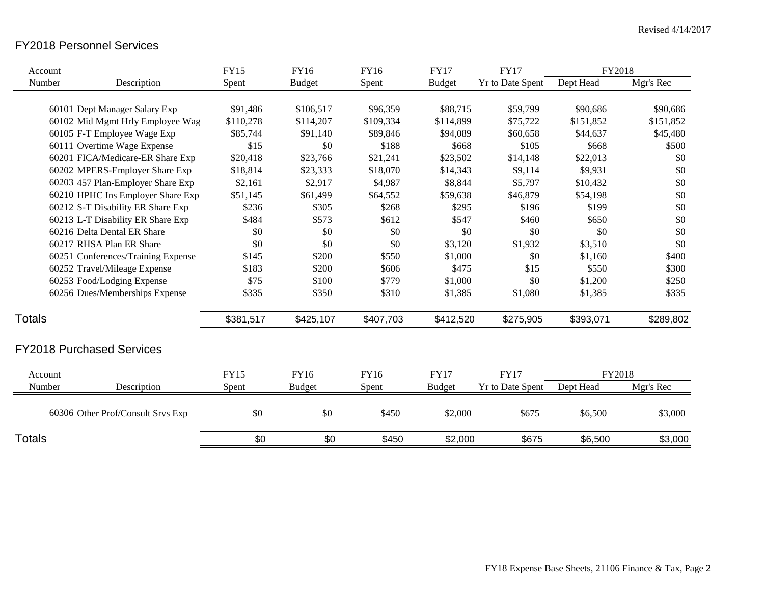## FY2018 Personnel Services

| Account       |                                    | <b>FY15</b> | FY16          | <b>FY16</b> | <b>FY17</b>   | <b>FY17</b>             | FY2018    |           |
|---------------|------------------------------------|-------------|---------------|-------------|---------------|-------------------------|-----------|-----------|
| Number        | Description                        | Spent       | <b>Budget</b> | Spent       | <b>Budget</b> | <b>Yr to Date Spent</b> | Dept Head | Mgr's Rec |
|               | 60101 Dept Manager Salary Exp      | \$91,486    | \$106,517     | \$96,359    | \$88,715      | \$59,799                | \$90,686  | \$90,686  |
|               | 60102 Mid Mgmt Hrly Employee Wag   | \$110,278   | \$114,207     | \$109,334   | \$114,899     | \$75,722                | \$151,852 | \$151,852 |
|               | 60105 F-T Employee Wage Exp        | \$85,744    | \$91,140      | \$89,846    | \$94,089      | \$60,658                | \$44,637  | \$45,480  |
|               | 60111 Overtime Wage Expense        | \$15        | \$0           | \$188       | \$668         | \$105                   | \$668     | \$500     |
|               | 60201 FICA/Medicare-ER Share Exp   | \$20,418    | \$23,766      | \$21,241    | \$23,502      | \$14,148                | \$22,013  | \$0       |
|               | 60202 MPERS-Employer Share Exp     | \$18,814    | \$23,333      | \$18,070    | \$14,343      | \$9,114                 | \$9,931   | \$0       |
|               | 60203 457 Plan-Employer Share Exp  | \$2,161     | \$2,917       | \$4,987     | \$8,844       | \$5,797                 | \$10,432  | \$0       |
|               | 60210 HPHC Ins Employer Share Exp  | \$51,145    | \$61,499      | \$64,552    | \$59,638      | \$46,879                | \$54,198  | \$0       |
|               | 60212 S-T Disability ER Share Exp  | \$236       | \$305         | \$268       | \$295         | \$196                   | \$199     | \$0       |
|               | 60213 L-T Disability ER Share Exp  | \$484       | \$573         | \$612       | \$547         | \$460                   | \$650     | \$0       |
|               | 60216 Delta Dental ER Share        | \$0         | \$0           | \$0         | \$0           | \$0                     | \$0       | \$0       |
|               | 60217 RHSA Plan ER Share           | \$0         | \$0           | \$0         | \$3,120       | \$1,932                 | \$3,510   | \$0       |
|               | 60251 Conferences/Training Expense | \$145       | \$200         | \$550       | \$1,000       | \$0                     | \$1,160   | \$400     |
|               | 60252 Travel/Mileage Expense       | \$183       | \$200         | \$606       | \$475         | \$15                    | \$550     | \$300     |
|               | 60253 Food/Lodging Expense         | \$75        | \$100         | \$779       | \$1,000       | \$0                     | \$1,200   | \$250     |
|               | 60256 Dues/Memberships Expense     | \$335       | \$350         | \$310       | \$1,385       | \$1,080                 | \$1,385   | \$335     |
| <b>Totals</b> |                                    | \$381,517   | \$425,107     | \$407,703   | \$412,520     | \$275,905               | \$393,071 | \$289,802 |
|               | <b>FY2018 Purchased Services</b>   |             |               |             |               |                         |           |           |
| Account       |                                    | <b>FY15</b> | FY16          | <b>FY16</b> | <b>FY17</b>   | <b>FY17</b>             | FY2018    |           |
| Number        | Description                        | Spent       | <b>Budget</b> | Spent       | <b>Budget</b> | <b>Yr to Date Spent</b> | Dept Head | Mgr's Rec |
|               | 60306 Other Prof/Consult Srvs Exp  | \$0         | \$0           | \$450       | \$2,000       | \$675                   | \$6,500   | \$3,000   |
| <b>Totals</b> |                                    | \$0         | \$0           | \$450       | \$2,000       | \$675                   | \$6,500   | \$3,000   |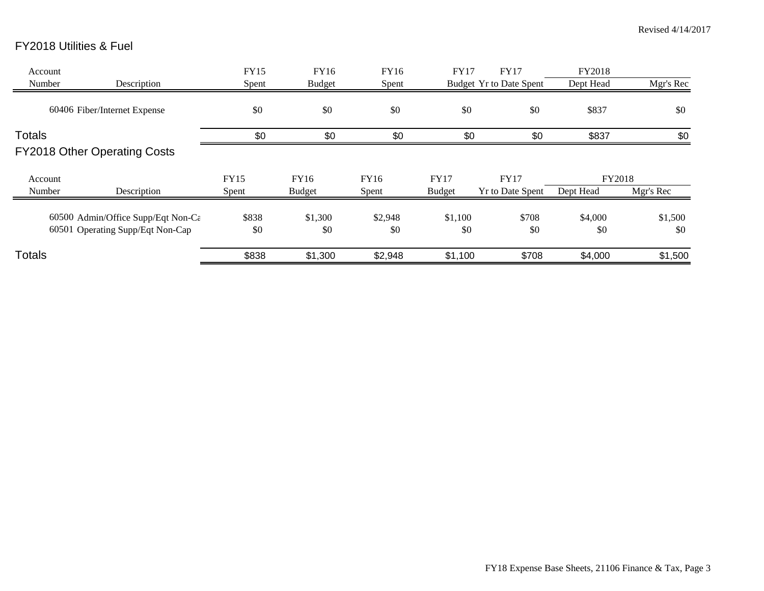# FY2018 Utilities & Fuel

| Account<br>Number | Description                                                            | <b>FY15</b><br>Spent | FY16<br><b>Budget</b> | FY16<br>Spent  | <b>FY17</b>                  | <b>FY17</b><br>Budget Yr to Date Spent | FY2018<br>Dept Head | Mgr's Rec      |
|-------------------|------------------------------------------------------------------------|----------------------|-----------------------|----------------|------------------------------|----------------------------------------|---------------------|----------------|
|                   | 60406 Fiber/Internet Expense                                           | \$0                  | \$0                   | \$0            | \$0                          | \$0                                    | \$837               | \$0            |
| <b>Totals</b>     | <b>FY2018 Other Operating Costs</b>                                    | \$0                  | \$0                   | \$0            | \$0                          | \$0                                    | \$837               | \$0            |
| Account<br>Number | Description                                                            | <b>FY15</b><br>Spent | FY16<br><b>Budget</b> | FY16<br>Spent  | <b>FY17</b><br><b>Budget</b> | <b>FY17</b><br><b>Yr to Date Spent</b> | FY2018<br>Dept Head | Mgr's Rec      |
|                   | 60500 Admin/Office Supp/Eqt Non-Ca<br>60501 Operating Supp/Eqt Non-Cap | \$838<br>\$0         | \$1,300<br>\$0        | \$2,948<br>\$0 | \$1,100<br>\$0               | \$708<br>\$0                           | \$4,000<br>\$0      | \$1,500<br>\$0 |
| <b>Totals</b>     |                                                                        | \$838                | \$1,300               | \$2,948        | \$1,100                      | \$708                                  | \$4,000             | \$1,500        |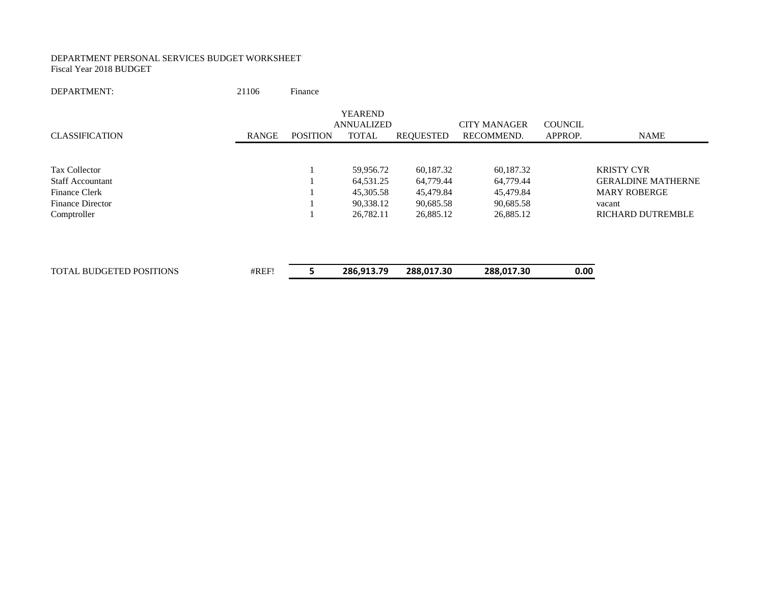#### DEPARTMENT PERSONAL SERVICES BUDGET WORKSHEET Fiscal Year 2018 BUDGET

DEPARTMENT: 21106 Finance

|                                 |              |                 | <b>YEAREND</b>    |                  |                     |                |                           |
|---------------------------------|--------------|-----------------|-------------------|------------------|---------------------|----------------|---------------------------|
|                                 |              |                 | <b>ANNUALIZED</b> |                  | <b>CITY MANAGER</b> | <b>COUNCIL</b> |                           |
| <b>CLASSIFICATION</b>           | <b>RANGE</b> | <b>POSITION</b> | <b>TOTAL</b>      | <b>REQUESTED</b> | RECOMMEND.          | APPROP.        | <b>NAME</b>               |
|                                 |              |                 |                   |                  |                     |                |                           |
| <b>Tax Collector</b>            |              |                 | 59,956.72         | 60,187.32        | 60,187.32           |                | <b>KRISTY CYR</b>         |
| <b>Staff Accountant</b>         |              |                 | 64,531.25         | 64,779.44        | 64,779.44           |                | <b>GERALDINE MATHERNE</b> |
| <b>Finance Clerk</b>            |              |                 | 45,305.58         | 45,479.84        | 45,479.84           |                | <b>MARY ROBERGE</b>       |
| <b>Finance Director</b>         |              |                 | 90,338.12         | 90,685.58        | 90,685.58           |                | vacant                    |
| Comptroller                     |              |                 | 26,782.11         | 26,885.12        | 26,885.12           |                | <b>RICHARD DUTREMBLE</b>  |
|                                 |              |                 |                   |                  |                     |                |                           |
| <b>TOTAL BUDGETED POSITIONS</b> | #REF!        |                 | 286,913.79        | 288,017.30       | 288,017.30          | 0.00           |                           |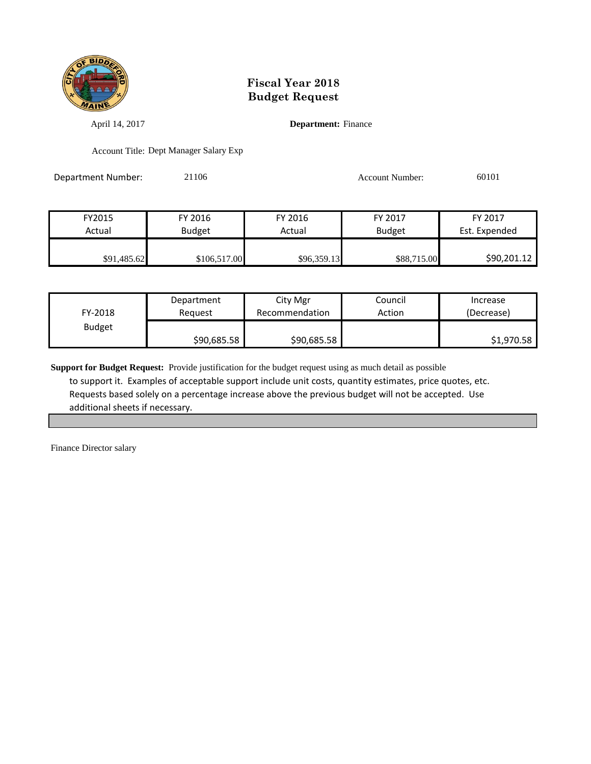

April 14, 2017 **Department:** Finance

Account Title: Dept Manager Salary Exp

Department Number: 21106 21106 Account Number: 60101

| FY2015      | FY 2016       | FY 2016     | FY 2017       | FY 2017       |
|-------------|---------------|-------------|---------------|---------------|
| Actual      | <b>Budget</b> | Actual      | <b>Budget</b> | Est. Expended |
|             |               |             |               |               |
| \$91,485.62 | \$106,517.00  | \$96,359.13 | \$88,715.00   | \$90,201.12   |

| FY-2018       | Department  | City Mgr       | Council | Increase   |
|---------------|-------------|----------------|---------|------------|
|               | Reauest     | Recommendation | Action  | (Decrease) |
| <b>Budget</b> | \$90,685.58 | \$90,685.58    |         | \$1,970.58 |

**Support for Budget Request:** Provide justification for the budget request using as much detail as possible to support it. Examples of acceptable support include unit costs, quantity estimates, price quotes, etc. Requests based solely on a percentage increase above the previous budget will not be accepted. Use additional sheets if necessary.

Finance Director salary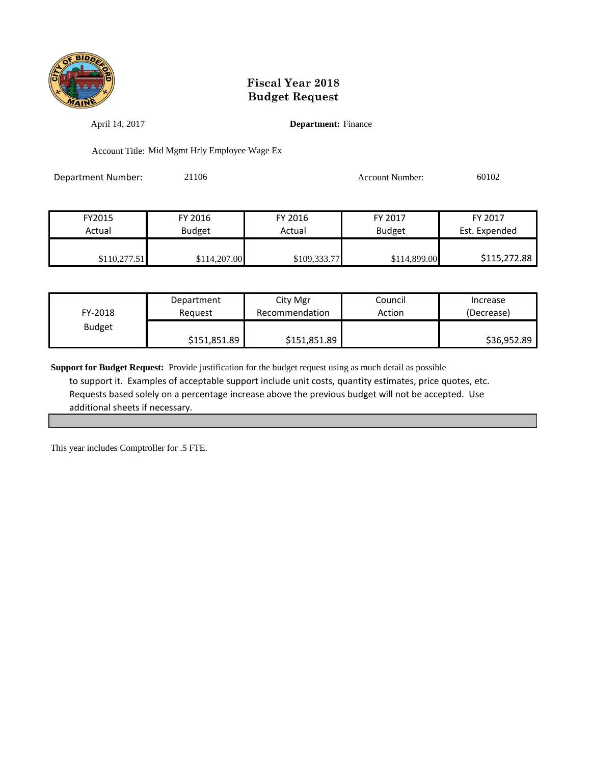

April 14, 2017 **Department:** Finance

Account Title: Mid Mgmt Hrly Employee Wage Ex

Department Number: 21106 21106 Account Number: 60102

| FY2015       | FY 2016       | FY 2016      | FY 2017       | FY 2017       |
|--------------|---------------|--------------|---------------|---------------|
| Actual       | <b>Budget</b> | Actual       | <b>Budget</b> | Est. Expended |
|              |               |              |               |               |
| \$110.277.51 | \$114,207.00  | \$109,333.77 | \$114,899.00  | \$115,272.88  |

| FY-2018       | Department   | City Mgr       | Council | Increase    |
|---------------|--------------|----------------|---------|-------------|
|               | Reauest      | Recommendation | Action  | (Decrease)  |
| <b>Budget</b> | \$151,851.89 | \$151,851.89   |         | \$36,952.89 |

**Support for Budget Request:** Provide justification for the budget request using as much detail as possible to support it. Examples of acceptable support include unit costs, quantity estimates, price quotes, etc. Requests based solely on a percentage increase above the previous budget will not be accepted. Use additional sheets if necessary.

This year includes Comptroller for .5 FTE.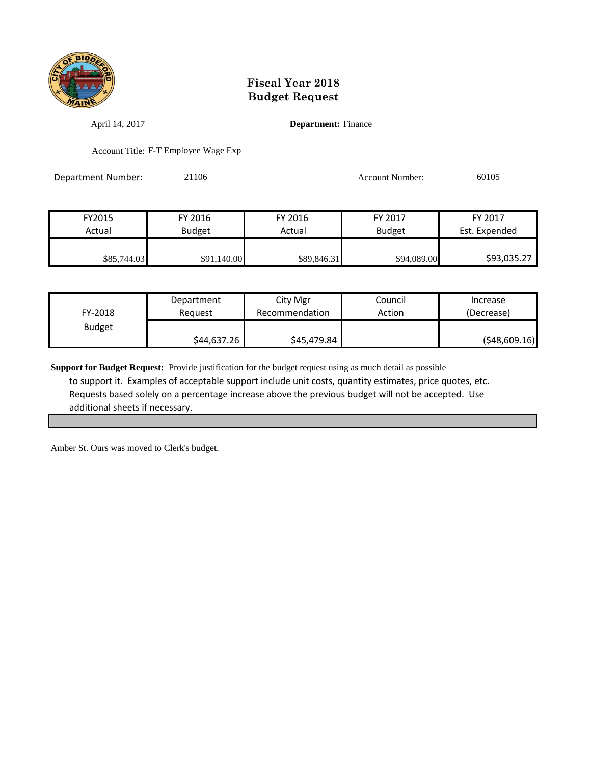

April 14, 2017 **Department:** Finance

Account Title: F-T Employee Wage Exp

Department Number: 21106 21106 Account Number: 60105

| FY2015      | FY 2016       | FY 2016     | FY 2017       | FY 2017       |
|-------------|---------------|-------------|---------------|---------------|
| Actual      | <b>Budget</b> | Actual      | <b>Budget</b> | Est. Expended |
|             |               |             |               |               |
| \$85,744.03 | \$91,140.00   | \$89,846.31 | \$94,089.00   | \$93,035.27   |

| FY-2018       | Department  | City Mgr       | Council | Increase     |
|---------------|-------------|----------------|---------|--------------|
|               | Reauest     | Recommendation | Action  | (Decrease)   |
| <b>Budget</b> | \$44,637.26 | \$45,479.84    |         | (548,609.16) |

**Support for Budget Request:** Provide justification for the budget request using as much detail as possible to support it. Examples of acceptable support include unit costs, quantity estimates, price quotes, etc. Requests based solely on a percentage increase above the previous budget will not be accepted. Use additional sheets if necessary.

Amber St. Ours was moved to Clerk's budget.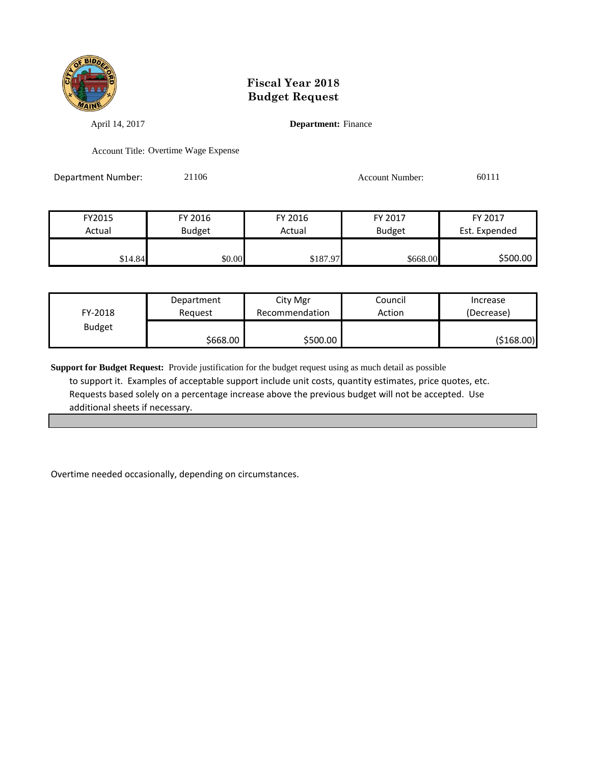

April 14, 2017 **Department:** Finance

Account Title: Overtime Wage Expense

Department Number: 21106 21106 Account Number: 60111

| FY2015  | FY 2016 | FY 2016  | FY 2017       | FY 2017       |
|---------|---------|----------|---------------|---------------|
| Actual  | Budget  | Actual   | <b>Budget</b> | Est. Expended |
|         |         |          |               |               |
| \$14.84 | \$0.00  | \$187.97 | \$668.00      | \$500.00      |

| FY-2018       | Department | City Mgr       | Council | Increase   |
|---------------|------------|----------------|---------|------------|
|               | Reauest    | Recommendation | Action  | (Decrease) |
| <b>Budget</b> | \$668.00∣  | \$500.00       |         | (\$168.00) |

**Support for Budget Request:** Provide justification for the budget request using as much detail as possible to support it. Examples of acceptable support include unit costs, quantity estimates, price quotes, etc. Requests based solely on a percentage increase above the previous budget will not be accepted. Use additional sheets if necessary.

Overtime needed occasionally, depending on circumstances.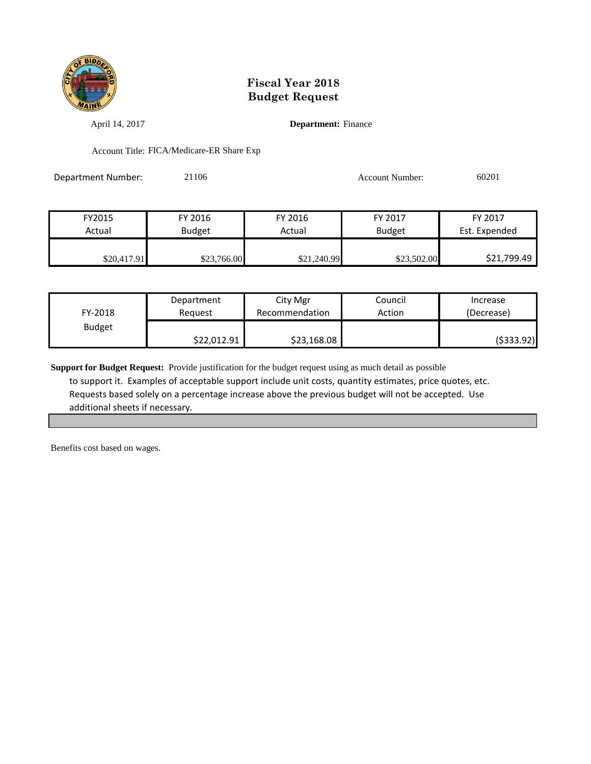

April 14, 2017 **Department:** Finance

Account Title: FICA/Medicare-ER Share Exp

Department Number: 21106 2010 2010 Account Number: 60201

| FY2015      | FY 2016       | FY 2016     | FY 2017     | FY 2017       |
|-------------|---------------|-------------|-------------|---------------|
| Actual      | <b>Budget</b> | Actual      | Budget      | Est. Expended |
|             |               |             |             |               |
| \$20,417.91 | \$23,766.00   | \$21,240.99 | \$23,502.00 | \$21,799.49   |

| FY-2018       | Department  | City Mgr       | Council | Increase   |
|---------------|-------------|----------------|---------|------------|
|               | Reauest     | Recommendation | Action  | (Decrease) |
| <b>Budget</b> | \$22,012.91 | \$23,168.08    |         | (\$333.92) |

**Support for Budget Request:** Provide justification for the budget request using as much detail as possible to support it. Examples of acceptable support include unit costs, quantity estimates, price quotes, etc. Requests based solely on a percentage increase above the previous budget will not be accepted. Use additional sheets if necessary.

Benefits cost based on wages.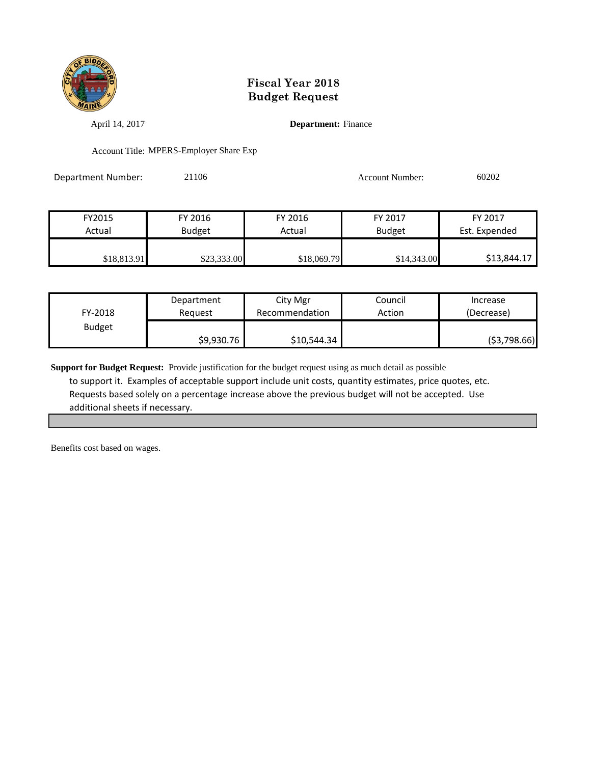

April 14, 2017 **Department:** Finance

Account Title: MPERS-Employer Share Exp

Department Number: 21106 20202 Account Number: 60202

| FY2015      | FY 2016       | FY 2016     | FY 2017       | FY 2017       |
|-------------|---------------|-------------|---------------|---------------|
| Actual      | <b>Budget</b> | Actual      | <b>Budget</b> | Est. Expended |
|             |               |             |               |               |
| \$18,813.91 | \$23,333.00   | \$18,069.79 | \$14,343.00   | \$13,844.17   |

| FY-2018       | Department | City Mgr       | Council | Increase    |
|---------------|------------|----------------|---------|-------------|
|               | Reauest    | Recommendation | Action  | (Decrease)  |
| <b>Budget</b> | \$9,930.76 | \$10,544.34    |         | (53,798.66) |

**Support for Budget Request:** Provide justification for the budget request using as much detail as possible to support it. Examples of acceptable support include unit costs, quantity estimates, price quotes, etc. Requests based solely on a percentage increase above the previous budget will not be accepted. Use additional sheets if necessary.

Benefits cost based on wages.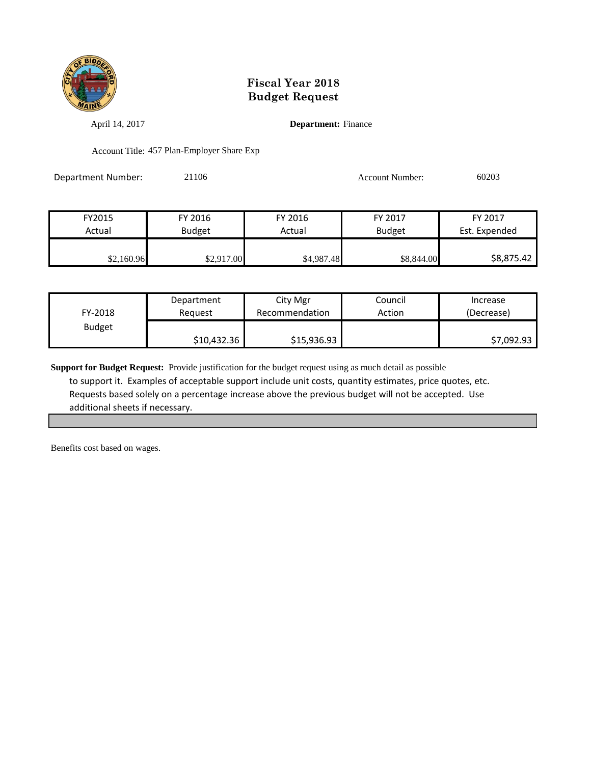

April 14, 2017 **Department:** Finance

Account Title: 457 Plan-Employer Share Exp

Department Number: 21106 2010 2010 Account Number: 60203

| FY2015     | FY 2016       | FY 2016    | FY 2017       | FY 2017       |
|------------|---------------|------------|---------------|---------------|
| Actual     | <b>Budget</b> | Actual     | <b>Budget</b> | Est. Expended |
|            |               |            |               |               |
| \$2,160.96 | \$2,917.00    | \$4,987.48 | \$8,844.00    | \$8,875.42    |

| FY-2018       | Department  | City Mgr       | Council | Increase   |
|---------------|-------------|----------------|---------|------------|
|               | Reguest     | Recommendation | Action  | (Decrease) |
| <b>Budget</b> | \$10,432.36 | \$15,936.93    |         | \$7,092.93 |

**Support for Budget Request:** Provide justification for the budget request using as much detail as possible to support it. Examples of acceptable support include unit costs, quantity estimates, price quotes, etc. Requests based solely on a percentage increase above the previous budget will not be accepted. Use additional sheets if necessary.

Benefits cost based on wages.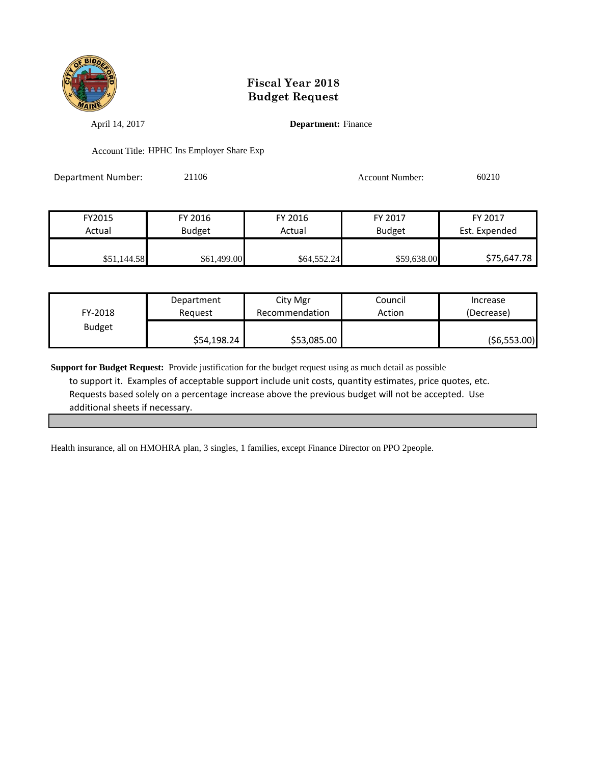

April 14, 2017 **Department:** Finance

Account Title: HPHC Ins Employer Share Exp

Department Number: 21106 21106 Account Number: 60210

| FY2015      | FY 2016       | FY 2016     | FY 2017       | FY 2017       |
|-------------|---------------|-------------|---------------|---------------|
| Actual      | <b>Budget</b> | Actual      | <b>Budget</b> | Est. Expended |
|             |               |             |               |               |
| \$51,144.58 | \$61,499.00   | \$64,552.24 | \$59,638.00   | \$75,647.78   |

| FY-2018       | Department  | City Mgr       | Council | Increase     |
|---------------|-------------|----------------|---------|--------------|
|               | Reauest     | Recommendation | Action  | (Decrease)   |
| <b>Budget</b> | \$54,198.24 | \$53,085.00    |         | (56, 553.00) |

**Support for Budget Request:** Provide justification for the budget request using as much detail as possible to support it. Examples of acceptable support include unit costs, quantity estimates, price quotes, etc. Requests based solely on a percentage increase above the previous budget will not be accepted. Use additional sheets if necessary.

Health insurance, all on HMOHRA plan, 3 singles, 1 families, except Finance Director on PPO 2people.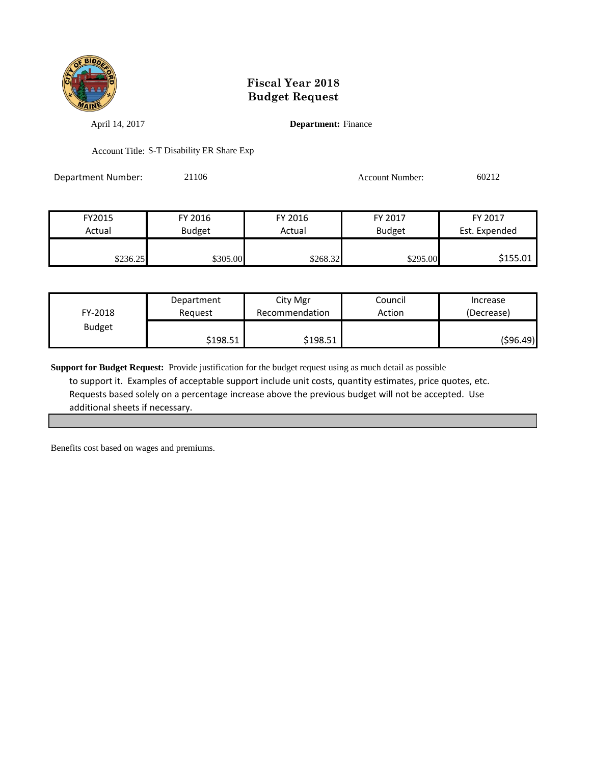

April 14, 2017 **Department:** Finance

Account Title: S-T Disability ER Share Exp

Department Number: 21106 212

| FY2015   | FY 2016       | FY 2016  | FY 2017       | FY 2017       |
|----------|---------------|----------|---------------|---------------|
| Actual   | <b>Budget</b> | Actual   | <b>Budget</b> | Est. Expended |
|          |               |          |               |               |
| \$236.25 | \$305.00      | \$268.32 | \$295.00      | \$155.01      |

| FY-2018       | Department | City Mgr       | Council | Increase   |
|---------------|------------|----------------|---------|------------|
|               | Reauest    | Recommendation | Action  | (Decrease) |
| <b>Budget</b> | \$198.51   | \$198.51       |         | (\$96.49)  |

**Support for Budget Request:** Provide justification for the budget request using as much detail as possible to support it. Examples of acceptable support include unit costs, quantity estimates, price quotes, etc. Requests based solely on a percentage increase above the previous budget will not be accepted. Use additional sheets if necessary.

Benefits cost based on wages and premiums.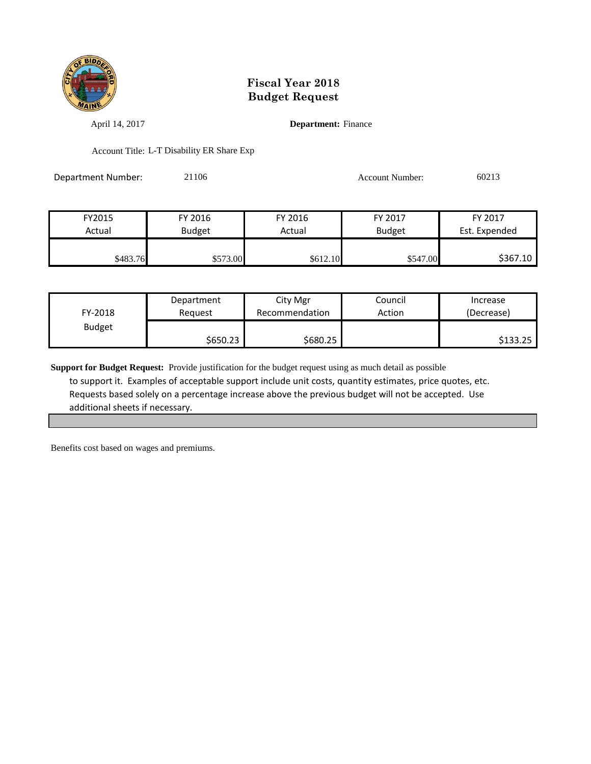

April 14, 2017 **Department:** Finance

Account Title: L-T Disability ER Share Exp

Department Number: 21106 21106 Account Number: 60213

FY2015 FY 2016 FY 2016 FY 2017 FY 2017 Actual Budget Actual Budget Est. Expended \$483.76 \$573.00 \$573.00 \$612.10 \$612.10 \$547.00 \$367.10

| FY-2018       | Department | City Mgr       | Council | Increase   |
|---------------|------------|----------------|---------|------------|
|               | Reauest    | Recommendation | Action  | (Decrease) |
| <b>Budget</b> | \$650.23   | \$680.25       |         | \$133.25   |

**Support for Budget Request:** Provide justification for the budget request using as much detail as possible to support it. Examples of acceptable support include unit costs, quantity estimates, price quotes, etc. Requests based solely on a percentage increase above the previous budget will not be accepted. Use additional sheets if necessary.

Benefits cost based on wages and premiums.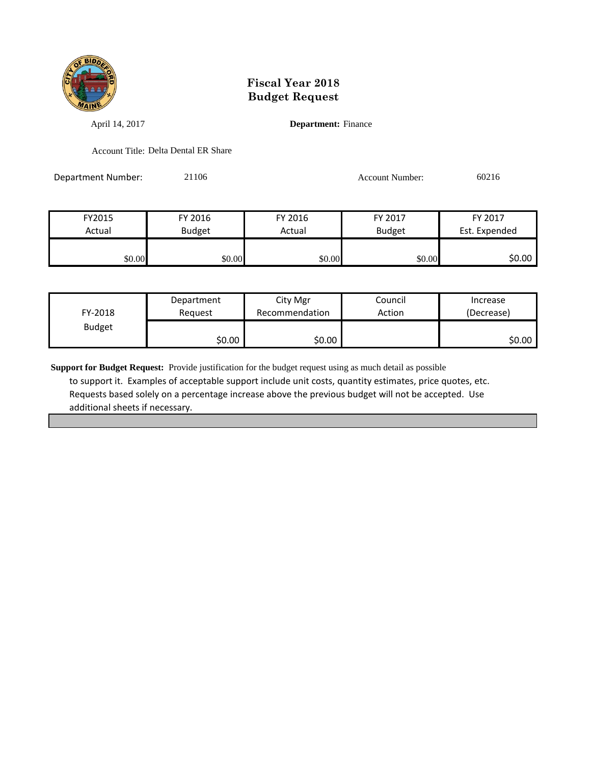

April 14, 2017 **Department:** Finance

Account Title: Delta Dental ER Share

Department Number: 21106 21106 Account Number: 60216

| FY2015 | FY 2016       | FY 2016 | FY 2017       | FY 2017       |
|--------|---------------|---------|---------------|---------------|
| Actual | <b>Budget</b> | Actual  | <b>Budget</b> | Est. Expended |
|        |               |         |               |               |
| \$0.00 | \$0.00        | \$0.00  | \$0.00        | \$0.00        |

| FY-2018       | Department | City Mgr       | Council | Increase   |
|---------------|------------|----------------|---------|------------|
|               | Reguest    | Recommendation | Action  | (Decrease) |
| <b>Budget</b> | \$0.00     | \$0.00         |         | \$0.00 l   |

**Support for Budget Request:** Provide justification for the budget request using as much detail as possible to support it. Examples of acceptable support include unit costs, quantity estimates, price quotes, etc. Requests based solely on a percentage increase above the previous budget will not be accepted. Use additional sheets if necessary.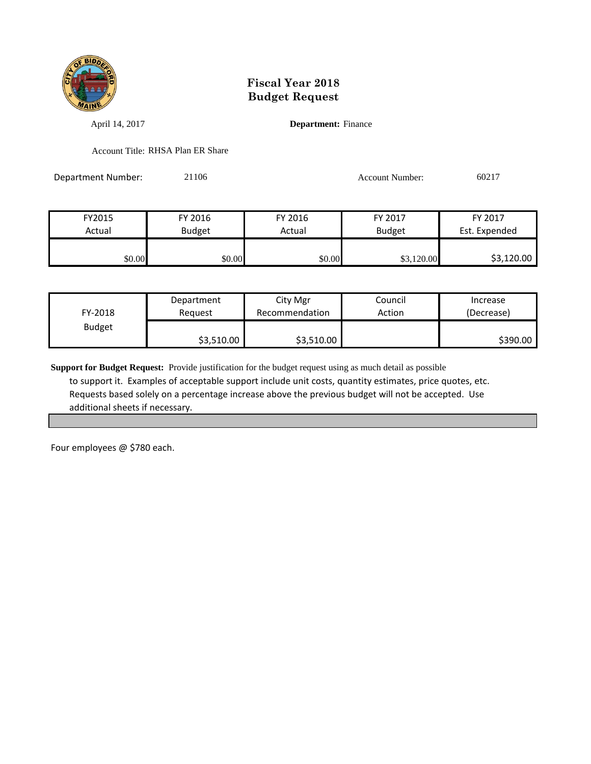

April 14, 2017 **Department:** Finance

Account Title: RHSA Plan ER Share

Department Number: 21106 21106 Account Number: 60217

| FY2015 | FY 2016       | FY 2016 | FY 2017       | FY 2017       |
|--------|---------------|---------|---------------|---------------|
| Actual | <b>Budget</b> | Actual  | <b>Budget</b> | Est. Expended |
|        |               |         |               |               |
| \$0.00 | \$0.00        | \$0.00  | \$3,120.00    | \$3,120.00    |

| FY-2018       | Department | City Mgr       | Council | Increase   |
|---------------|------------|----------------|---------|------------|
|               | Reauest    | Recommendation | Action  | (Decrease) |
| <b>Budget</b> | \$3,510.00 | \$3,510.00     |         | \$390.00   |

**Support for Budget Request:** Provide justification for the budget request using as much detail as possible to support it. Examples of acceptable support include unit costs, quantity estimates, price quotes, etc. Requests based solely on a percentage increase above the previous budget will not be accepted. Use additional sheets if necessary.

Four employees @ \$780 each.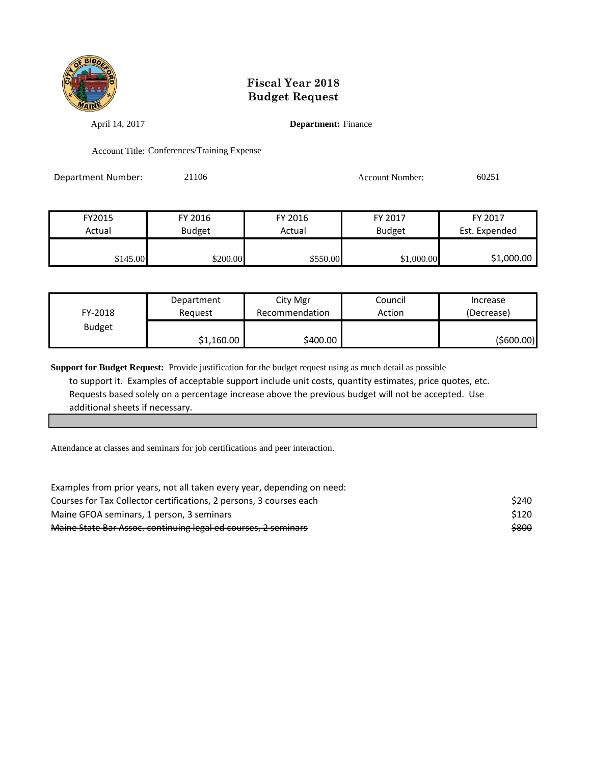

April 14, 2017 **Department:** Finance

Account Title: Conferences/Training Expense

Department Number: 21106 21106 Account Number: 60251

| FY2015   | FY 2016       | FY 2016  | FY 2017       | FY 2017       |
|----------|---------------|----------|---------------|---------------|
| Actual   | <b>Budget</b> | Actual   | <b>Budget</b> | Est. Expended |
|          |               |          |               |               |
| \$145.00 | \$200.00      | \$550.00 | \$1,000.00    | \$1,000.00    |

| FY-2018       | Department | City Mgr       | Council | Increase   |
|---------------|------------|----------------|---------|------------|
|               | Reauest    | Recommendation | Action  | (Decrease) |
| <b>Budget</b> | \$1,160.00 | \$400.00       |         | (\$600.00) |

**Support for Budget Request:** Provide justification for the budget request using as much detail as possible to support it. Examples of acceptable support include unit costs, quantity estimates, price quotes, etc. Requests based solely on a percentage increase above the previous budget will not be accepted. Use additional sheets if necessary.

Attendance at classes and seminars for job certifications and peer interaction.

| Examples from prior years, not all taken every year, depending on need: |             |
|-------------------------------------------------------------------------|-------------|
| Courses for Tax Collector certifications, 2 persons, 3 courses each     | <b>S240</b> |
| Maine GFOA seminars, 1 person, 3 seminars                               | \$120       |
| Maine State Bar Assoc. continuing legal ed courses, 2 seminars          | \$800       |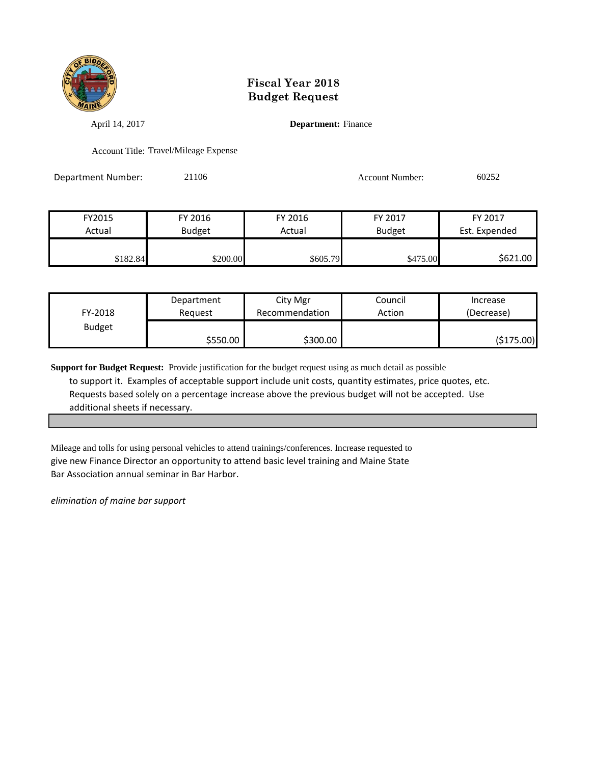

April 14, 2017 **Department:** Finance

Account Title: Travel/Mileage Expense

Department Number: 21106 21106 Account Number: 60252

| FY2015   | FY 2016  | FY 2016  | FY 2017       | FY 2017       |
|----------|----------|----------|---------------|---------------|
| Actual   | Budget   | Actual   | <b>Budget</b> | Est. Expended |
|          |          |          |               |               |
| \$182.84 | \$200.00 | \$605.79 | \$475.00      | \$621.00      |

| FY-2018       | Department | City Mgr       | Council | Increase   |
|---------------|------------|----------------|---------|------------|
|               | Reauest    | Recommendation | Action  | (Decrease) |
| <b>Budget</b> | \$550.00   | \$300.00       |         | (\$175.00) |

**Support for Budget Request:** Provide justification for the budget request using as much detail as possible to support it. Examples of acceptable support include unit costs, quantity estimates, price quotes, etc. Requests based solely on a percentage increase above the previous budget will not be accepted. Use additional sheets if necessary.

Mileage and tolls for using personal vehicles to attend trainings/conferences. Increase requested to give new Finance Director an opportunity to attend basic level training and Maine State Bar Association annual seminar in Bar Harbor.

*elimination of maine bar support*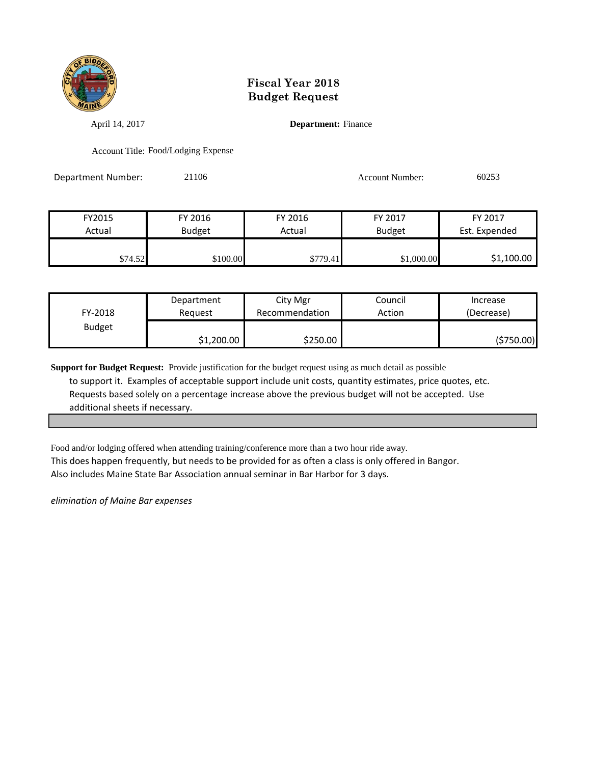

April 14, 2017 **Department:** Finance

Account Title: Food/Lodging Expense

Department Number: 21106 21106 Account Number: 60253

| FY2015  | FY 2016       | FY 2016  | FY 2017       | FY 2017       |
|---------|---------------|----------|---------------|---------------|
| Actual  | <b>Budget</b> | Actual   | <b>Budget</b> | Est. Expended |
|         |               |          |               |               |
| \$74.52 | \$100.00      | \$779.41 | \$1,000.00    | \$1,100.00    |

| FY-2018       | Department | City Mgr       | Council | Increase   |
|---------------|------------|----------------|---------|------------|
|               | Reauest    | Recommendation | Action  | (Decrease) |
| <b>Budget</b> | \$1,200.00 | \$250.00       |         | (\$750.00) |

**Support for Budget Request:** Provide justification for the budget request using as much detail as possible to support it. Examples of acceptable support include unit costs, quantity estimates, price quotes, etc. Requests based solely on a percentage increase above the previous budget will not be accepted. Use additional sheets if necessary.

Food and/or lodging offered when attending training/conference more than a two hour ride away.

This does happen frequently, but needs to be provided for as often a class is only offered in Bangor. Also includes Maine State Bar Association annual seminar in Bar Harbor for 3 days.

*elimination of Maine Bar expenses*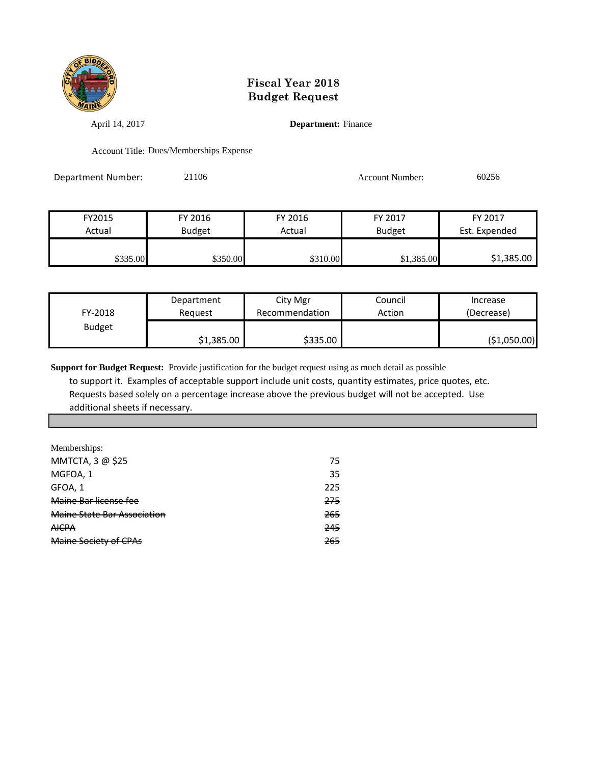

April 14, 2017 **Department:** Finance

Account Title: Dues/Memberships Expense

Department Number: 21106 21106 Account Number: 60256

| FY2015   | FY 2016       | FY 2016  | FY 2017       | FY 2017       |
|----------|---------------|----------|---------------|---------------|
| Actual   | <b>Budget</b> | Actual   | <b>Budget</b> | Est. Expended |
|          |               |          |               |               |
| \$335.00 | \$350.00      | \$310.00 | \$1,385.00    | \$1,385.00    |

| FY-2018       | Department | City Mgr       | Council | Increase     |
|---------------|------------|----------------|---------|--------------|
|               | Reauest    | Recommendation | Action  | (Decrease)   |
| <b>Budget</b> | \$1,385.00 | \$335.00       |         | (\$1,050.00) |

**Support for Budget Request:** Provide justification for the budget request using as much detail as possible to support it. Examples of acceptable support include unit costs, quantity estimates, price quotes, etc. Requests based solely on a percentage increase above the previous budget will not be accepted. Use additional sheets if necessary.

| Memberships:                |     |
|-----------------------------|-----|
| MMTCTA, 3 @ \$25            | 75  |
| MGFOA, 1                    | 35  |
| GFOA, 1                     | 225 |
| Maine Bar license fee       | 275 |
| Maine State Bar Association | 265 |
| <b>AICPA</b>                | 245 |
| Maine Society of CPAs       | 265 |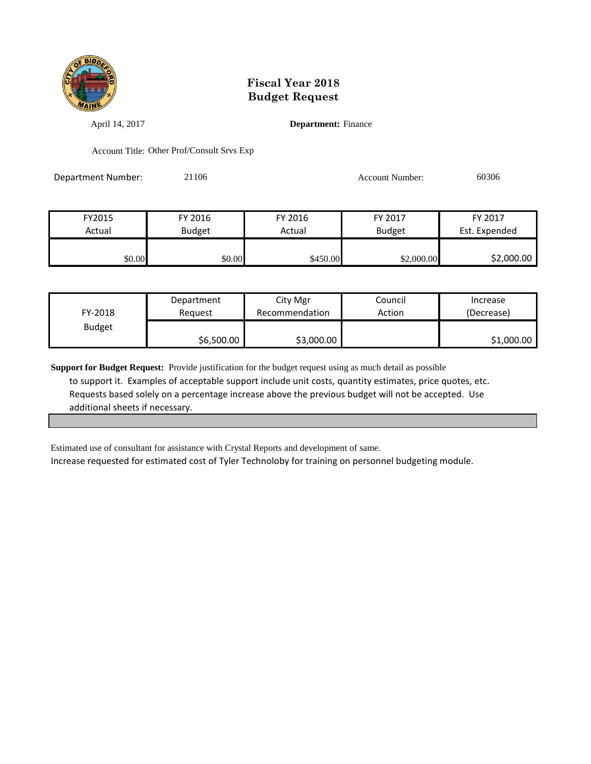

April 14, 2017 **Department:** Finance

Account Title: Other Prof/Consult Srvs Exp

Department Number: 21106 21106 Account Number: 60306

| FY2015 | FY 2016       | FY 2016  | FY 2017       | FY 2017       |
|--------|---------------|----------|---------------|---------------|
| Actual | <b>Budget</b> | Actual   | <b>Budget</b> | Est. Expended |
|        |               |          |               |               |
| \$0.00 | \$0.00        | \$450.00 | \$2,000.00    | \$2,000.00    |

| FY-2018       | Department | City Mgr       | Council | Increase   |
|---------------|------------|----------------|---------|------------|
|               | Reauest    | Recommendation | Action  | (Decrease) |
| <b>Budget</b> | \$6,500.00 | \$3,000.00     |         | \$1,000.00 |

**Support for Budget Request:** Provide justification for the budget request using as much detail as possible to support it. Examples of acceptable support include unit costs, quantity estimates, price quotes, etc. Requests based solely on a percentage increase above the previous budget will not be accepted. Use additional sheets if necessary.

Estimated use of consultant for assistance with Crystal Reports and development of same.

Increase requested for estimated cost of Tyler Technoloby for training on personnel budgeting module.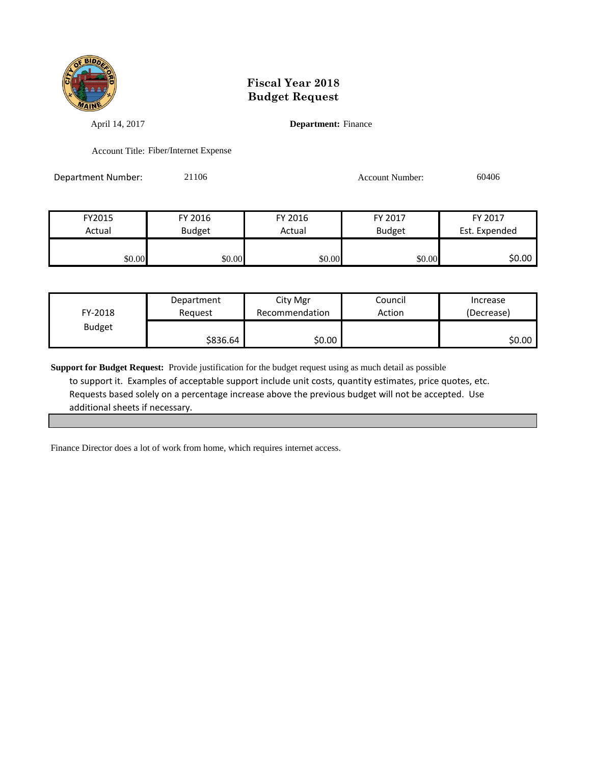

April 14, 2017 **Department:** Finance

Account Title: Fiber/Internet Expense

Department Number: 21106 21106 Account Number: 60406

| FY2015 | FY 2016       | FY 2016 | FY 2017       | FY 2017       |
|--------|---------------|---------|---------------|---------------|
| Actual | <b>Budget</b> | Actual  | <b>Budget</b> | Est. Expended |
|        |               |         |               |               |
| \$0.00 | \$0.00        | \$0.00  | \$0.00        | \$0.00        |

| FY-2018       | Department | City Mgr       | Council | Increase   |
|---------------|------------|----------------|---------|------------|
|               | Reauest    | Recommendation | Action  | (Decrease) |
| <b>Budget</b> | \$836.64∣  | \$0.00         |         | \$0.00     |

**Support for Budget Request:** Provide justification for the budget request using as much detail as possible to support it. Examples of acceptable support include unit costs, quantity estimates, price quotes, etc. Requests based solely on a percentage increase above the previous budget will not be accepted. Use additional sheets if necessary.

Finance Director does a lot of work from home, which requires internet access.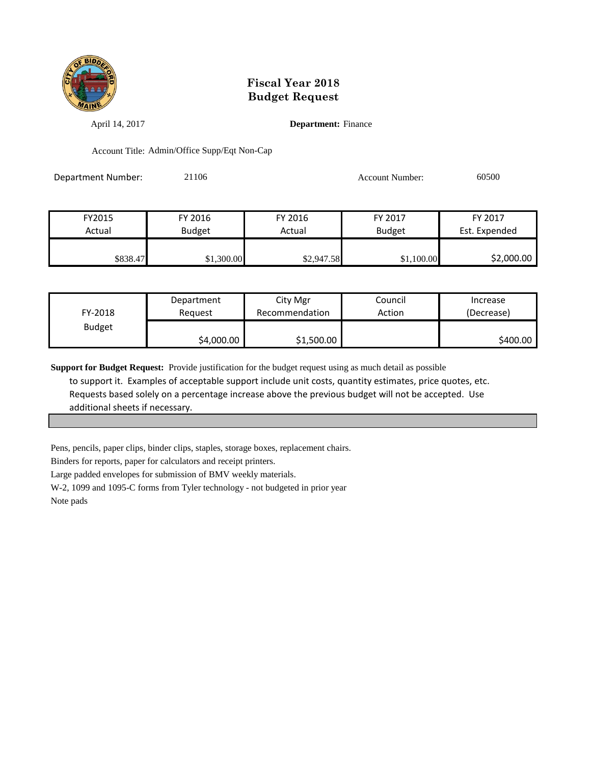

April 14, 2017 **Department:** Finance

Account Title: Admin/Office Supp/Eqt Non-Cap

Department Number: 21106 21106 Account Number: 60500

| FY2015   | FY 2016       | FY 2016    | FY 2017       | FY 2017       |
|----------|---------------|------------|---------------|---------------|
| Actual   | <b>Budget</b> | Actual     | <b>Budget</b> | Est. Expended |
|          |               |            |               |               |
| \$838.47 | \$1,300.00    | \$2,947.58 | \$1,100.00    | \$2,000.00    |

| FY-2018       | Department | City Mgr       | Council | Increase   |
|---------------|------------|----------------|---------|------------|
|               | Reauest    | Recommendation | Action  | (Decrease) |
| <b>Budget</b> | \$4,000.00 | \$1,500.00     |         | \$400.00   |

**Support for Budget Request:** Provide justification for the budget request using as much detail as possible

 to support it. Examples of acceptable support include unit costs, quantity estimates, price quotes, etc. Requests based solely on a percentage increase above the previous budget will not be accepted. Use additional sheets if necessary.

Pens, pencils, paper clips, binder clips, staples, storage boxes, replacement chairs.

Binders for reports, paper for calculators and receipt printers.

Large padded envelopes for submission of BMV weekly materials.

W-2, 1099 and 1095-C forms from Tyler technology - not budgeted in prior year

Note pads